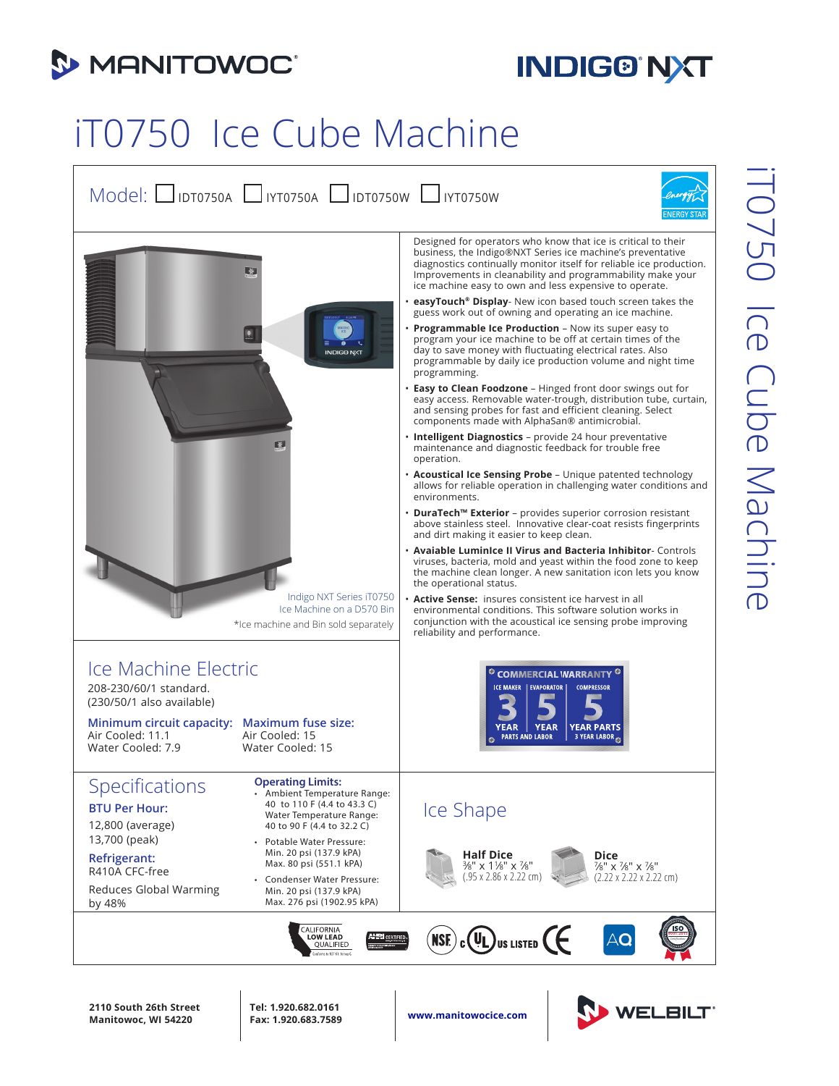

## **INDIG® NXT**

## iT0750 Ice Cube Machine



**2110 South 26th Street Manitowoc, WI 54220**

**Tel: 1.920.682.0161**

**Fax: 1.920.683.7589 www.manitowocice.com**